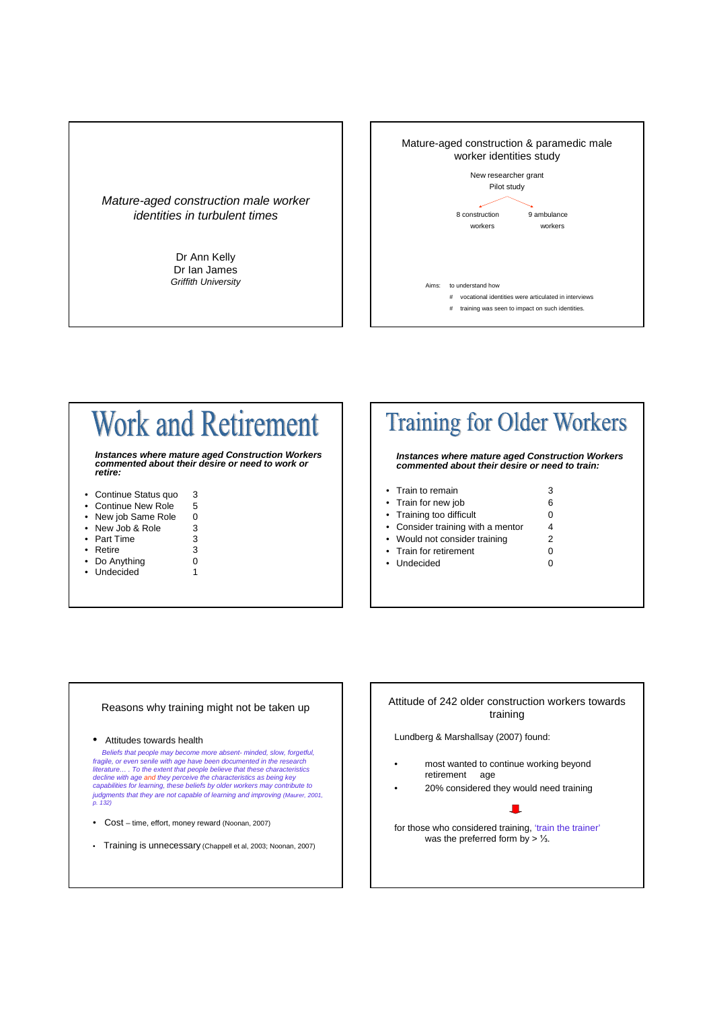



# **Work and Retirement**

**Instances where mature aged Construction Workers commented about their desire or need to work or retire:**

- Continue Status quo 3
- Continue New Role 5
- New job Same Role 0
- New Job & Role 3 Part Time 3
- 
- Retire 3
- Do Anything 0
- Undecided 1

### **Training for Older Workers**

#### **Instances where mature aged Construction Workers commented about their desire or need to train:**

| • Train to remain                 |   |
|-----------------------------------|---|
| • Train for new job               | 6 |
| • Training too difficult          | 0 |
| • Consider training with a mentor | 4 |
| • Would not consider training     | 2 |
| • Train for retirement            | 0 |
| • Undecided                       |   |
|                                   |   |

#### Reasons why training might not be taken up

#### • Attitudes towards health

Beliefs that people may become more absent- minded, slow, forgetful, fragile, or even senile with age have been documented in the research<br>literature…. To the extent that people believe that these characteristics<br>decline with age and they perceive the characteristics as being key capabilities for learning, these beliefs by older workers may contribute to judgments that they are not capable of learning and improving (Maurer, 2001, p. 132)

- Cost time, effort, money reward (Noonan, 2007)
- Training is unnecessary (Chappell et al, 2003; Noonan, 2007)

#### Attitude of 242 older construction workers towards training

Lundberg & Marshallsay (2007) found:

- most wanted to continue working beyond retirement age
- 20% considered they would need training

П.

for those who considered training, 'train the trainer' was the preferred form by > 1/3.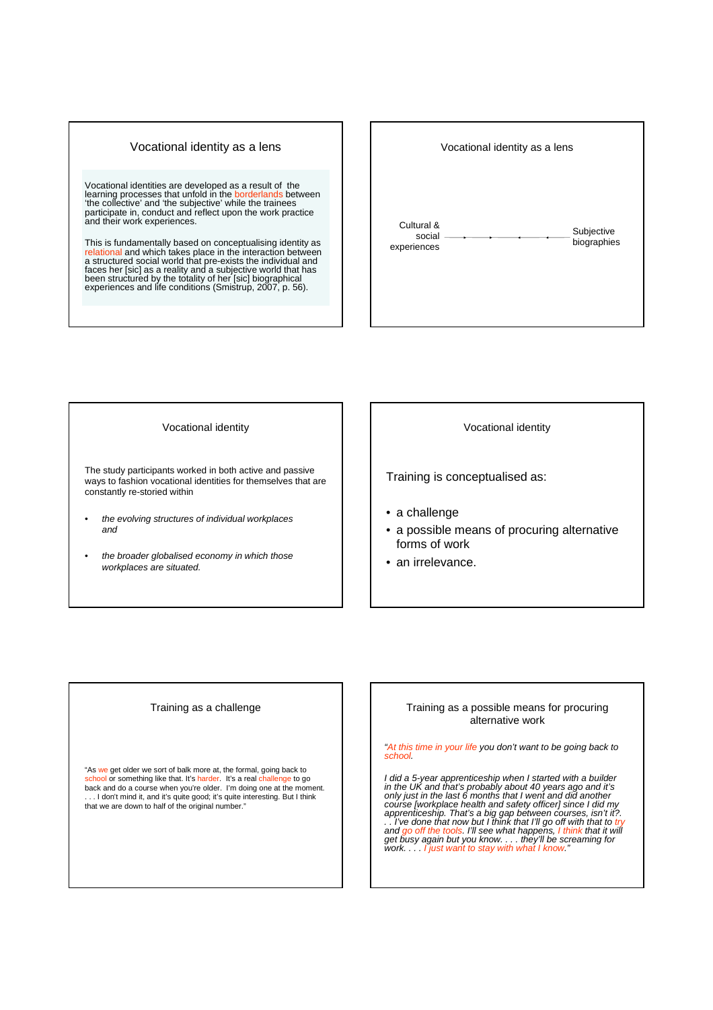#### Vocational identity as a lens

Vocational identities are developed as a result of the learning processes that unfold in the borderlands between 'the collective' and 'the subjective' while the trainees participate in, conduct and reflect upon the work practice and their work experiences.

This is fundamentally based on conceptualising identity as relational and which takes place in the interaction between a structured social world that pre-exists the individual and<br>faces her [sic] as a reality and a subjective world that has<br>been structured by the totality of her [sic] biographical<br>experiences and life conditions (Smistrup,

## Vocational identity as a lens Cultural & social experiences Subjective biographies

Vocational identity

The study participants worked in both active and passive ways to fashion vocational identities for themselves that are constantly re-storied within

- the evolving structures of individual workplaces and
- the broader globalised economy in which those workplaces are situated.

Vocational identity

Training is conceptualised as:

- a challenge
- a possible means of procuring alternative forms of work
- an irrelevance.

#### Training as a challenge

"As we get older we sort of balk more at, the formal, going back to <mark>school</mark> or something like that. It's harder. It's a real challenge to go<br>back and do a course when you're older. I'm doing one at the moment. ... I don't mind it, and it's quite good; it's quite interesting. But I think that we are down to half of the original number."

#### Training as a possible means for procuring alternative work

"At this time in your life you don't want to be going back to school.

I did a 5-year apprenticeship when I started with a builder<br>in the UK and that's probably about 40 years ago and it's<br>only just in the last 6 months that I went and did another<br>course [workplace health and safety officer]